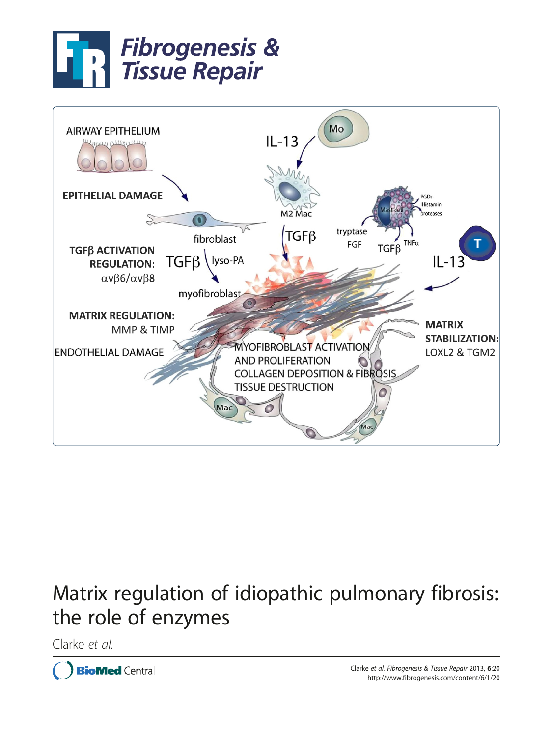



# Matrix regulation of idiopathic pulmonary fibrosis: the role of enzymes

Clarke et al.

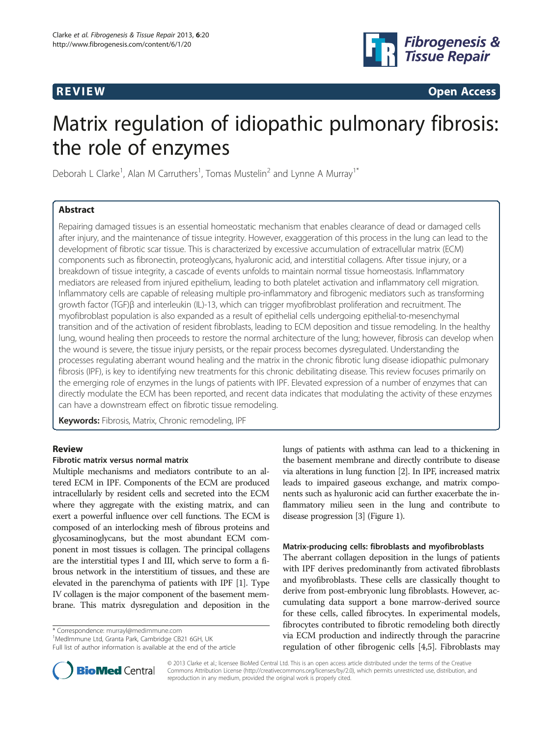

 $\mathbf{P}_\text{R}$  . The contract of the contract of the contract of the contract of the contract of the contract of the contract of the contract of the contract of the contract of the contract of the contract of the contract

# Matrix regulation of idiopathic pulmonary fibrosis: the role of enzymes

Deborah L Clarke<sup>1</sup>, Alan M Carruthers<sup>1</sup>, Tomas Mustelin<sup>2</sup> and Lynne A Murray<sup>1\*</sup>

# **Abstract**

Repairing damaged tissues is an essential homeostatic mechanism that enables clearance of dead or damaged cells after injury, and the maintenance of tissue integrity. However, exaggeration of this process in the lung can lead to the development of fibrotic scar tissue. This is characterized by excessive accumulation of extracellular matrix (ECM) components such as fibronectin, proteoglycans, hyaluronic acid, and interstitial collagens. After tissue injury, or a breakdown of tissue integrity, a cascade of events unfolds to maintain normal tissue homeostasis. Inflammatory mediators are released from injured epithelium, leading to both platelet activation and inflammatory cell migration. Inflammatory cells are capable of releasing multiple pro-inflammatory and fibrogenic mediators such as transforming growth factor (TGF)β and interleukin (IL)-13, which can trigger myofibroblast proliferation and recruitment. The myofibroblast population is also expanded as a result of epithelial cells undergoing epithelial-to-mesenchymal transition and of the activation of resident fibroblasts, leading to ECM deposition and tissue remodeling. In the healthy lung, wound healing then proceeds to restore the normal architecture of the lung; however, fibrosis can develop when the wound is severe, the tissue injury persists, or the repair process becomes dysregulated. Understanding the processes regulating aberrant wound healing and the matrix in the chronic fibrotic lung disease idiopathic pulmonary fibrosis (IPF), is key to identifying new treatments for this chronic debilitating disease. This review focuses primarily on the emerging role of enzymes in the lungs of patients with IPF. Elevated expression of a number of enzymes that can directly modulate the ECM has been reported, and recent data indicates that modulating the activity of these enzymes can have a downstream effect on fibrotic tissue remodeling.

Keywords: Fibrosis, Matrix, Chronic remodeling, IPF

# Fibrotic matrix versus normal matrix

Multiple mechanisms and mediators contribute to an altered ECM in IPF. Components of the ECM are produced intracellularly by resident cells and secreted into the ECM where they aggregate with the existing matrix, and can exert a powerful influence over cell functions. The ECM is composed of an interlocking mesh of fibrous proteins and glycosaminoglycans, but the most abundant ECM component in most tissues is collagen. The principal collagens are the interstitial types I and III, which serve to form a fibrous network in the interstitium of tissues, and these are elevated in the parenchyma of patients with IPF [\[1\]](#page-6-0). Type IV collagen is the major component of the basement membrane. This matrix dysregulation and deposition in the

\* Correspondence: [murrayl@medimmune.com](mailto:murrayl@medimmune.com) <sup>1</sup>

<sup>1</sup>MedImmune Ltd, Granta Park, Cambridge CB21 6GH, UK

Full list of author information is available at the end of the article

lungs of patients with asthma can lead to a thickening in the basement membrane and directly contribute to disease via alterations in lung function [[2](#page-6-0)]. In IPF, increased matrix leads to impaired gaseous exchange, and matrix components such as hyaluronic acid can further exacerbate the inflammatory milieu seen in the lung and contribute to disease progression [[3](#page-6-0)] (Figure [1](#page-2-0)).

# Matrix-producing cells: fibroblasts and myofibroblasts

The aberrant collagen deposition in the lungs of patients with IPF derives predominantly from activated fibroblasts and myofibroblasts. These cells are classically thought to derive from post-embryonic lung fibroblasts. However, accumulating data support a bone marrow-derived source for these cells, called fibrocytes. In experimental models, fibrocytes contributed to fibrotic remodeling both directly via ECM production and indirectly through the paracrine regulation of other fibrogenic cells [[4](#page-6-0),[5](#page-6-0)]. Fibroblasts may



© 2013 Clarke et al.; licensee BioMed Central Ltd. This is an open access article distributed under the terms of the Creative Commons Attribution License [\(http://creativecommons.org/licenses/by/2.0\)](http://creativecommons.org/licenses/by/2.0), which permits unrestricted use, distribution, and reproduction in any medium, provided the original work is properly cited.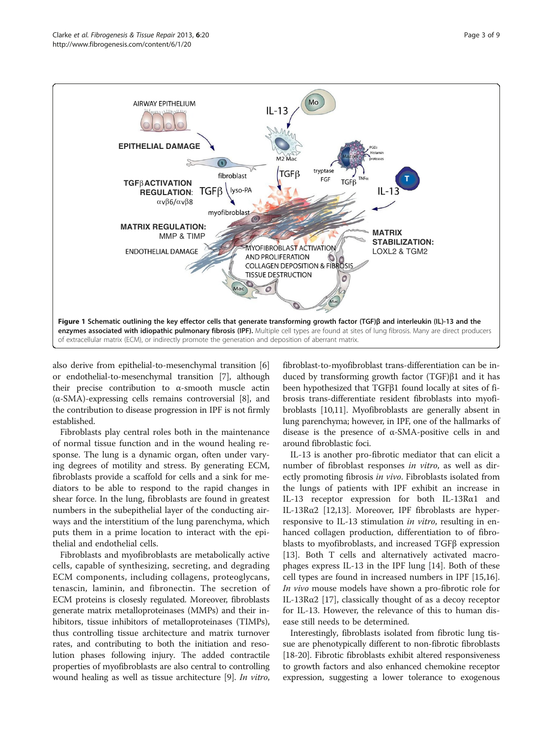<span id="page-2-0"></span>

also derive from epithelial-to-mesenchymal transition [[6](#page-6-0)] or endothelial-to-mesenchymal transition [\[7\]](#page-6-0), although their precise contribution to α-smooth muscle actin  $(\alpha$ -SMA)-expressing cells remains controversial [[8\]](#page-6-0), and the contribution to disease progression in IPF is not firmly established.

Fibroblasts play central roles both in the maintenance of normal tissue function and in the wound healing response. The lung is a dynamic organ, often under varying degrees of motility and stress. By generating ECM, fibroblasts provide a scaffold for cells and a sink for mediators to be able to respond to the rapid changes in shear force. In the lung, fibroblasts are found in greatest numbers in the subepithelial layer of the conducting airways and the interstitium of the lung parenchyma, which puts them in a prime location to interact with the epithelial and endothelial cells.

Fibroblasts and myofibroblasts are metabolically active cells, capable of synthesizing, secreting, and degrading ECM components, including collagens, proteoglycans, tenascin, laminin, and fibronectin. The secretion of ECM proteins is closesly regulated. Moreover, fibroblasts generate matrix metalloproteinases (MMPs) and their inhibitors, tissue inhibitors of metalloproteinases (TIMPs), thus controlling tissue architecture and matrix turnover rates, and contributing to both the initiation and resolution phases following injury. The added contractile properties of myofibroblasts are also central to controlling wound healing as well as tissue architecture [\[9](#page-6-0)]. In vitro,

fibroblast-to-myofibroblast trans-differentiation can be induced by transforming growth factor (TGF)β1 and it has been hypothesized that TGFβ1 found locally at sites of fibrosis trans-differentiate resident fibroblasts into myofibroblasts [\[10,11\]](#page-6-0). Myofibroblasts are generally absent in lung parenchyma; however, in IPF, one of the hallmarks of disease is the presence of α-SMA-positive cells in and around fibroblastic foci.

IL-13 is another pro-fibrotic mediator that can elicit a number of fibroblast responses in vitro, as well as directly promoting fibrosis *in vivo*. Fibroblasts isolated from the lungs of patients with IPF exhibit an increase in IL-13 receptor expression for both IL-13Rα1 and IL-13Rα2 [\[12,13](#page-6-0)]. Moreover, IPF fibroblasts are hyperresponsive to IL-13 stimulation in vitro, resulting in enhanced collagen production, differentiation to of fibroblasts to myofibroblasts, and increased TGFβ expression [[13\]](#page-6-0). Both T cells and alternatively activated macrophages express IL-13 in the IPF lung [[14\]](#page-6-0). Both of these cell types are found in increased numbers in IPF [\[15,16](#page-6-0)]. In vivo mouse models have shown a pro-fibrotic role for IL-13Rα2 [[17\]](#page-6-0), classically thought of as a decoy receptor for IL-13. However, the relevance of this to human disease still needs to be determined.

Interestingly, fibroblasts isolated from fibrotic lung tissue are phenotypically different to non-fibrotic fibroblasts [[18](#page-6-0)-[20\]](#page-7-0). Fibrotic fibroblasts exhibit altered responsiveness to growth factors and also enhanced chemokine receptor expression, suggesting a lower tolerance to exogenous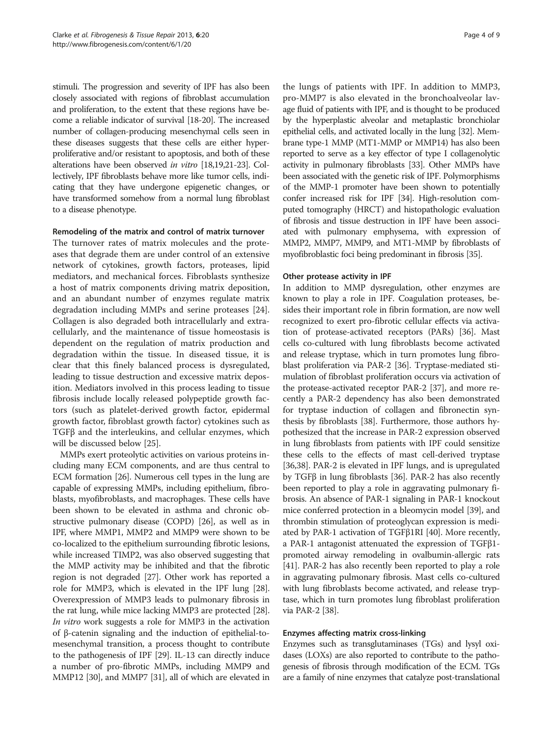stimuli. The progression and severity of IPF has also been closely associated with regions of fibroblast accumulation and proliferation, to the extent that these regions have become a reliable indicator of survival [[18](#page-6-0)[-20\]](#page-7-0). The increased number of collagen-producing mesenchymal cells seen in these diseases suggests that these cells are either hyperproliferative and/or resistant to apoptosis, and both of these alterations have been observed in vitro [\[18,19](#page-6-0)[,21-23\]](#page-7-0). Collectively, IPF fibroblasts behave more like tumor cells, indicating that they have undergone epigenetic changes, or have transformed somehow from a normal lung fibroblast to a disease phenotype.

# Remodeling of the matrix and control of matrix turnover

The turnover rates of matrix molecules and the proteases that degrade them are under control of an extensive network of cytokines, growth factors, proteases, lipid mediators, and mechanical forces. Fibroblasts synthesize a host of matrix components driving matrix deposition, and an abundant number of enzymes regulate matrix degradation including MMPs and serine proteases [\[24](#page-7-0)]. Collagen is also degraded both intracellularly and extracellularly, and the maintenance of tissue homeostasis is dependent on the regulation of matrix production and degradation within the tissue. In diseased tissue, it is clear that this finely balanced process is dysregulated, leading to tissue destruction and excessive matrix deposition. Mediators involved in this process leading to tissue fibrosis include locally released polypeptide growth factors (such as platelet-derived growth factor, epidermal growth factor, fibroblast growth factor) cytokines such as TGFβ and the interleukins, and cellular enzymes, which will be discussed below [\[25\]](#page-7-0).

MMPs exert proteolytic activities on various proteins including many ECM components, and are thus central to ECM formation [[26](#page-7-0)]. Numerous cell types in the lung are capable of expressing MMPs, including epithelium, fibroblasts, myofibroblasts, and macrophages. These cells have been shown to be elevated in asthma and chronic obstructive pulmonary disease (COPD) [[26\]](#page-7-0), as well as in IPF, where MMP1, MMP2 and MMP9 were shown to be co-localized to the epithelium surrounding fibrotic lesions, while increased TIMP2, was also observed suggesting that the MMP activity may be inhibited and that the fibrotic region is not degraded [\[27](#page-7-0)]. Other work has reported a role for MMP3, which is elevated in the IPF lung [[28](#page-7-0)]. Overexpression of MMP3 leads to pulmonary fibrosis in the rat lung, while mice lacking MMP3 are protected [[28](#page-7-0)]. In vitro work suggests a role for MMP3 in the activation of β-catenin signaling and the induction of epithelial-tomesenchymal transition, a process thought to contribute to the pathogenesis of IPF [\[29\]](#page-7-0). IL-13 can directly induce a number of pro-fibrotic MMPs, including MMP9 and MMP12 [[30](#page-7-0)], and MMP7 [\[31\]](#page-7-0), all of which are elevated in

the lungs of patients with IPF. In addition to MMP3, pro-MMP7 is also elevated in the bronchoalveolar lavage fluid of patients with IPF, and is thought to be produced by the hyperplastic alveolar and metaplastic bronchiolar epithelial cells, and activated locally in the lung [[32](#page-7-0)]. Membrane type-1 MMP (MT1-MMP or MMP14) has also been reported to serve as a key effector of type I collagenolytic activity in pulmonary fibroblasts [\[33\]](#page-7-0). Other MMPs have been associated with the genetic risk of IPF. Polymorphisms of the MMP-1 promoter have been shown to potentially confer increased risk for IPF [[34](#page-7-0)]. High-resolution computed tomography (HRCT) and histopathologic evaluation of fibrosis and tissue destruction in IPF have been associated with pulmonary emphysema, with expression of MMP2, MMP7, MMP9, and MT1-MMP by fibroblasts of myofibroblastic foci being predominant in fibrosis [\[35\]](#page-7-0).

# Other protease activity in IPF

In addition to MMP dysregulation, other enzymes are known to play a role in IPF. Coagulation proteases, besides their important role in fibrin formation, are now well recognized to exert pro-fibrotic cellular effects via activation of protease-activated receptors (PARs) [[36](#page-7-0)]. Mast cells co-cultured with lung fibroblasts become activated and release tryptase, which in turn promotes lung fibroblast proliferation via PAR-2 [\[36\]](#page-7-0). Tryptase-mediated stimulation of fibroblast proliferation occurs via activation of the protease-activated receptor PAR-2 [\[37\]](#page-7-0), and more recently a PAR-2 dependency has also been demonstrated for tryptase induction of collagen and fibronectin synthesis by fibroblasts [[38](#page-7-0)]. Furthermore, those authors hypothesized that the increase in PAR-2 expression observed in lung fibroblasts from patients with IPF could sensitize these cells to the effects of mast cell-derived tryptase [[36](#page-7-0),[38](#page-7-0)]. PAR-2 is elevated in IPF lungs, and is upregulated by TGFβ in lung fibroblasts [\[36\]](#page-7-0). PAR-2 has also recently been reported to play a role in aggravating pulmonary fibrosis. An absence of PAR-1 signaling in PAR-1 knockout mice conferred protection in a bleomycin model [\[39\]](#page-7-0), and thrombin stimulation of proteoglycan expression is mediated by PAR-1 activation of TGFβ1RI [\[40\]](#page-7-0). More recently, a PAR-1 antagonist attenuated the expression of TGFβ1 promoted airway remodeling in ovalbumin-allergic rats [[41](#page-7-0)]. PAR-2 has also recently been reported to play a role in aggravating pulmonary fibrosis. Mast cells co-cultured with lung fibroblasts become activated, and release tryptase, which in turn promotes lung fibroblast proliferation via PAR-2 [\[38\]](#page-7-0).

# Enzymes affecting matrix cross-linking

Enzymes such as transglutaminases (TGs) and lysyl oxidases (LOXs) are also reported to contribute to the pathogenesis of fibrosis through modification of the ECM. TGs are a family of nine enzymes that catalyze post-translational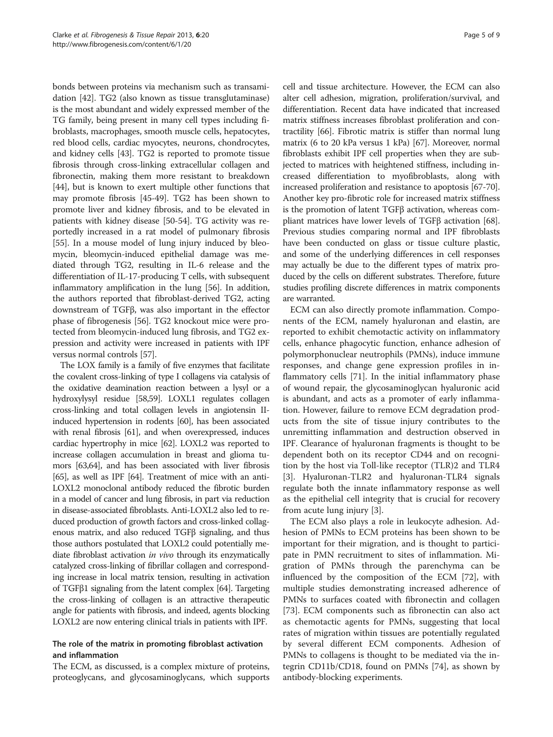bonds between proteins via mechanism such as transamidation [[42](#page-7-0)]. TG2 (also known as tissue transglutaminase) is the most abundant and widely expressed member of the TG family, being present in many cell types including fibroblasts, macrophages, smooth muscle cells, hepatocytes, red blood cells, cardiac myocytes, neurons, chondrocytes, and kidney cells [\[43](#page-7-0)]. TG2 is reported to promote tissue fibrosis through cross-linking extracellular collagen and fibronectin, making them more resistant to breakdown [[44](#page-7-0)], but is known to exert multiple other functions that may promote fibrosis [[45-49\]](#page-7-0). TG2 has been shown to promote liver and kidney fibrosis, and to be elevated in patients with kidney disease [[50](#page-7-0)-[54](#page-7-0)]. TG activity was reportedly increased in a rat model of pulmonary fibrosis [[55](#page-7-0)]. In a mouse model of lung injury induced by bleomycin, bleomycin-induced epithelial damage was mediated through TG2, resulting in IL-6 release and the differentiation of IL-17-producing T cells, with subsequent inflammatory amplification in the lung [\[56\]](#page-7-0). In addition, the authors reported that fibroblast-derived TG2, acting downstream of TGFβ, was also important in the effector phase of fibrogenesis [[56](#page-7-0)]. TG2 knockout mice were protected from bleomycin-induced lung fibrosis, and TG2 expression and activity were increased in patients with IPF versus normal controls [[57\]](#page-7-0).

The LOX family is a family of five enzymes that facilitate the covalent cross-linking of type I collagens via catalysis of the oxidative deamination reaction between a lysyl or a hydroxylysyl residue [\[58,59\]](#page-7-0). LOXL1 regulates collagen cross-linking and total collagen levels in angiotensin IIinduced hypertension in rodents [[60](#page-7-0)], has been associated with renal fibrosis [[61](#page-7-0)], and when overexpressed, induces cardiac hypertrophy in mice [\[62\]](#page-8-0). LOXL2 was reported to increase collagen accumulation in breast and glioma tumors [\[63,64](#page-8-0)], and has been associated with liver fibrosis [[65](#page-8-0)], as well as IPF [[64](#page-8-0)]. Treatment of mice with an anti-LOXL2 monoclonal antibody reduced the fibrotic burden in a model of cancer and lung fibrosis, in part via reduction in disease-associated fibroblasts. Anti-LOXL2 also led to reduced production of growth factors and cross-linked collagenous matrix, and also reduced TGFβ signaling, and thus those authors postulated that LOXL2 could potentially mediate fibroblast activation in vivo through its enzymatically catalyzed cross-linking of fibrillar collagen and corresponding increase in local matrix tension, resulting in activation of TGFβ1 signaling from the latent complex [\[64\]](#page-8-0). Targeting the cross-linking of collagen is an attractive therapeutic angle for patients with fibrosis, and indeed, agents blocking LOXL2 are now entering clinical trials in patients with IPF.

# The role of the matrix in promoting fibroblast activation and inflammation

The ECM, as discussed, is a complex mixture of proteins, proteoglycans, and glycosaminoglycans, which supports cell and tissue architecture. However, the ECM can also alter cell adhesion, migration, proliferation/survival, and differentiation. Recent data have indicated that increased matrix stiffness increases fibroblast proliferation and contractility [\[66\]](#page-8-0). Fibrotic matrix is stiffer than normal lung matrix (6 to 20 kPa versus 1 kPa) [[67](#page-8-0)]. Moreover, normal fibroblasts exhibit IPF cell properties when they are subjected to matrices with heightened stiffness, including increased differentiation to myofibroblasts, along with increased proliferation and resistance to apoptosis [[67](#page-8-0)-[70](#page-8-0)]. Another key pro-fibrotic role for increased matrix stiffness is the promotion of latent TGFβ activation, whereas compliant matrices have lower levels of TGFβ activation [[68](#page-8-0)]. Previous studies comparing normal and IPF fibroblasts have been conducted on glass or tissue culture plastic, and some of the underlying differences in cell responses may actually be due to the different types of matrix produced by the cells on different substrates. Therefore, future studies profiling discrete differences in matrix components are warranted.

ECM can also directly promote inflammation. Components of the ECM, namely hyaluronan and elastin, are reported to exhibit chemotactic activity on inflammatory cells, enhance phagocytic function, enhance adhesion of polymorphonuclear neutrophils (PMNs), induce immune responses, and change gene expression profiles in inflammatory cells [[71](#page-8-0)]. In the initial inflammatory phase of wound repair, the glycosaminoglycan hyaluronic acid is abundant, and acts as a promoter of early inflammation. However, failure to remove ECM degradation products from the site of tissue injury contributes to the unremitting inflammation and destruction observed in IPF. Clearance of hyaluronan fragments is thought to be dependent both on its receptor CD44 and on recognition by the host via Toll-like receptor (TLR)2 and TLR4 [[3\]](#page-6-0). Hyaluronan-TLR2 and hyaluronan-TLR4 signals regulate both the innate inflammatory response as well as the epithelial cell integrity that is crucial for recovery from acute lung injury [[3\]](#page-6-0).

The ECM also plays a role in leukocyte adhesion. Adhesion of PMNs to ECM proteins has been shown to be important for their migration, and is thought to participate in PMN recruitment to sites of inflammation. Migration of PMNs through the parenchyma can be influenced by the composition of the ECM [[72](#page-8-0)], with multiple studies demonstrating increased adherence of PMNs to surfaces coated with fibronectin and collagen [[73\]](#page-8-0). ECM components such as fibronectin can also act as chemotactic agents for PMNs, suggesting that local rates of migration within tissues are potentially regulated by several different ECM components. Adhesion of PMNs to collagens is thought to be mediated via the integrin CD11b/CD18, found on PMNs [\[74](#page-8-0)], as shown by antibody-blocking experiments.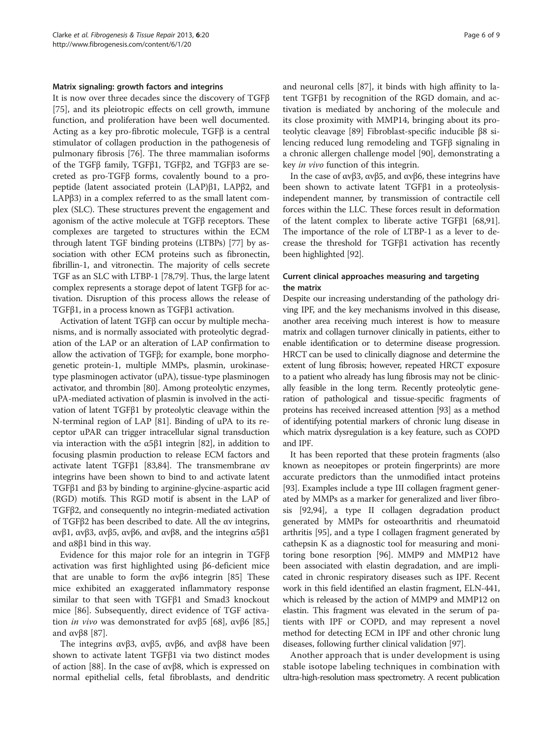## Matrix signaling: growth factors and integrins

It is now over three decades since the discovery of TGFβ [[75\]](#page-8-0), and its pleiotropic effects on cell growth, immune function, and proliferation have been well documented. Acting as a key pro-fibrotic molecule, TGFβ is a central stimulator of collagen production in the pathogenesis of pulmonary fibrosis [[76\]](#page-8-0). The three mammalian isoforms of the TGFβ family, TGFβ1, TGFβ2, and TGFβ3 are secreted as pro-TGFβ forms, covalently bound to a propeptide (latent associated protein (LAP)β1, LAPβ2, and LAPβ3) in a complex referred to as the small latent complex (SLC). These structures prevent the engagement and agonism of the active molecule at TGFβ receptors. These complexes are targeted to structures within the ECM through latent TGF binding proteins (LTBPs) [[77](#page-8-0)] by association with other ECM proteins such as fibronectin, fibrillin-1, and vitronectin. The majority of cells secrete TGF as an SLC with LTBP-1 [\[78,79\]](#page-8-0). Thus, the large latent complex represents a storage depot of latent TGFβ for activation. Disruption of this process allows the release of TGFβ1, in a process known as TGFβ1 activation.

Activation of latent TGFβ can occur by multiple mechanisms, and is normally associated with proteolytic degradation of the LAP or an alteration of LAP confirmation to allow the activation of TGFβ; for example, bone morphogenetic protein-1, multiple MMPs, plasmin, urokinasetype plasminogen activator (uPA), tissue-type plasminogen activator, and thrombin [\[80](#page-8-0)]. Among proteolytic enzymes, uPA-mediated activation of plasmin is involved in the activation of latent TGFβ1 by proteolytic cleavage within the N-terminal region of LAP [[81](#page-8-0)]. Binding of uPA to its receptor uPAR can trigger intracellular signal transduction via interaction with the α5β1 integrin [\[82](#page-8-0)], in addition to focusing plasmin production to release ECM factors and activate latent TGFβ1 [\[83,84\]](#page-8-0). The transmembrane αv integrins have been shown to bind to and activate latent TGFβ1 and β3 by binding to arginine-glycine-aspartic acid (RGD) motifs. This RGD motif is absent in the LAP of TGFβ2, and consequently no integrin-mediated activation of TGFβ2 has been described to date. All the αv integrins, αvβ1, αvβ3, αvβ5, αvβ6, and αvβ8, and the integrins α5β1 and  $\alpha$ 8β1 bind in this way.

Evidence for this major role for an integrin in TGFβ activation was first highlighted using β6-deficient mice that are unable to form the  $ανβ6$  integrin [\[85](#page-8-0)] These mice exhibited an exaggerated inflammatory response similar to that seen with TGFβ1 and Smad3 knockout mice [\[86](#page-8-0)]. Subsequently, direct evidence of TGF activation *in vivo* was demonstrated for ανβ5 [[68](#page-8-0)], ανβ6 [85,] and  $αvβ8$  [[87\]](#page-8-0).

The integrins αvβ3, αvβ5, αvβ6, and αvβ8 have been shown to activate latent TGFβ1 via two distinct modes of action [[88\]](#page-8-0). In the case of αvβ8, which is expressed on normal epithelial cells, fetal fibroblasts, and dendritic

and neuronal cells [[87\]](#page-8-0), it binds with high affinity to latent TGFβ1 by recognition of the RGD domain, and activation is mediated by anchoring of the molecule and its close proximity with MMP14, bringing about its proteolytic cleavage [[89\]](#page-8-0) Fibroblast-specific inducible β8 silencing reduced lung remodeling and TGFβ signaling in a chronic allergen challenge model [[90\]](#page-8-0), demonstrating a key in vivo function of this integrin.

In the case of αvβ3, αvβ5, and αvβ6, these integrins have been shown to activate latent TGFβ1 in a proteolysisindependent manner, by transmission of contractile cell forces within the LLC. These forces result in deformation of the latent complex to liberate active TGFβ1 [\[68,91](#page-8-0)]. The importance of the role of LTBP-1 as a lever to decrease the threshold for TGFβ1 activation has recently been highlighted [[92\]](#page-8-0).

# Current clinical approaches measuring and targeting the matrix

Despite our increasing understanding of the pathology driving IPF, and the key mechanisms involved in this disease, another area receiving much interest is how to measure matrix and collagen turnover clinically in patients, either to enable identification or to determine disease progression. HRCT can be used to clinically diagnose and determine the extent of lung fibrosis; however, repeated HRCT exposure to a patient who already has lung fibrosis may not be clinically feasible in the long term. Recently proteolytic generation of pathological and tissue-specific fragments of proteins has received increased attention [\[93\]](#page-8-0) as a method of identifying potential markers of chronic lung disease in which matrix dysregulation is a key feature, such as COPD and IPF.

It has been reported that these protein fragments (also known as neoepitopes or protein fingerprints) are more accurate predictors than the unmodified intact proteins [[93](#page-8-0)]. Examples include a type III collagen fragment generated by MMPs as a marker for generalized and liver fibrosis [[92,94\]](#page-8-0), a type II collagen degradation product generated by MMPs for osteoarthritis and rheumatoid arthritis [\[95](#page-8-0)], and a type I collagen fragment generated by cathepsin K as a diagnostic tool for measuring and monitoring bone resorption [[96](#page-8-0)]. MMP9 and MMP12 have been associated with elastin degradation, and are implicated in chronic respiratory diseases such as IPF. Recent work in this field identified an elastin fragment, ELN-441, which is released by the action of MMP9 and MMP12 on elastin. This fragment was elevated in the serum of patients with IPF or COPD, and may represent a novel method for detecting ECM in IPF and other chronic lung diseases, following further clinical validation [[97\]](#page-8-0).

Another approach that is under development is using stable isotope labeling techniques in combination with ultra-high-resolution mass spectrometry. A recent publication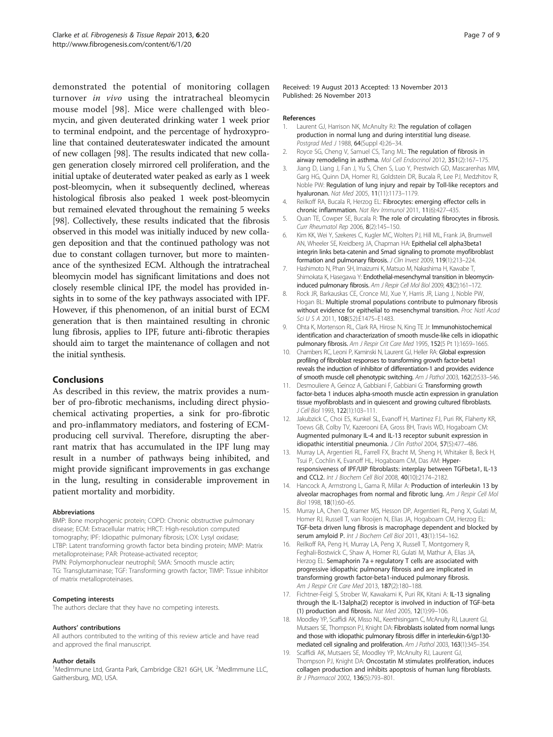<span id="page-6-0"></span>demonstrated the potential of monitoring collagen turnover in vivo using the intratracheal bleomycin mouse model [[98](#page-8-0)]. Mice were challenged with bleomycin, and given deuterated drinking water 1 week prior to terminal endpoint, and the percentage of hydroxyproline that contained deuterateswater indicated the amount of new collagen [[98](#page-8-0)]. The results indicated that new collagen generation closely mirrored cell proliferation, and the initial uptake of deuterated water peaked as early as 1 week post-bleomycin, when it subsequently declined, whereas histological fibrosis also peaked 1 week post-bleomycin but remained elevated throughout the remaining 5 weeks [[98](#page-8-0)]. Collectively, these results indicated that the fibrosis observed in this model was initially induced by new collagen deposition and that the continued pathology was not due to constant collagen turnover, but more to maintenance of the synthesized ECM. Although the intratracheal bleomycin model has significant limitations and does not closely resemble clinical IPF, the model has provided insights in to some of the key pathways associated with IPF. However, if this phenomenon, of an initial burst of ECM generation that is then maintained resulting in chronic lung fibrosis, applies to IPF, future anti-fibrotic therapies should aim to target the maintenance of collagen and not the initial synthesis.

# **Conclusions**

As described in this review, the matrix provides a number of pro-fibrotic mechanisms, including direct physiochemical activating properties, a sink for pro-fibrotic and pro-inflammatory mediators, and fostering of ECMproducing cell survival. Therefore, disrupting the aberrant matrix that has accumulated in the IPF lung may result in a number of pathways being inhibited, and might provide significant improvements in gas exchange in the lung, resulting in considerable improvement in patient mortality and morbidity.

### Abbreviations

BMP: Bone morphogenic protein; COPD: Chronic obstructive pulmonary disease; ECM: Extracellular matrix; HRCT: High-resolution computed tomography; IPF: Idiopathic pulmonary fibrosis; LOX: Lysyl oxidase; LTBP: Latent transforming growth factor beta binding protein; MMP: Matrix metalloproteinase; PAR: Protease-activated receptor; PMN: Polymorphonuclear neutrophil; SMA: Smooth muscle actin; TG: Transglutaminase; TGF: Transforming growth factor; TIMP: Tissue inhibitor of matrix metalloproteinases.

## Competing interests

The authors declare that they have no competing interests.

### Authors' contributions

All authors contributed to the writing of this review article and have read and approved the final manuscript.

### Author details

<sup>1</sup>MedImmune Ltd, Granta Park, Cambridge CB21 6GH, UK. <sup>2</sup>MedImmune LLC, Gaithersburg, MD, USA.

Received: 19 August 2013 Accepted: 13 November 2013 Published: 26 November 2013

#### References

- 1. Laurent GJ, Harrison NK, McAnulty RJ: The regulation of collagen production in normal lung and during interstitial lung disease. Postgrad Med J 1988, 64(Suppl 4):26–34.
- Royce SG, Cheng V, Samuel CS, Tang ML: The regulation of fibrosis in airway remodeling in asthma. Mol Cell Endocrinol 2012, 351(2):167–175.
- 3. Jiang D, Liang J, Fan J, Yu S, Chen S, Luo Y, Prestwich GD, Mascarenhas MM, Garg HG, Quinn DA, Homer RJ, Goldstein DR, Bucala R, Lee PJ, Medzhitov R, Noble PW: Regulation of lung injury and repair by Toll-like receptors and hyaluronan. Nat Med 2005, 11(11):1173–1179.
- 4. Reilkoff RA, Bucala R, Herzog EL: Fibrocytes: emerging effector cells in chronic inflammation. Nat Rev Immunol 2011, 11(6):427–435.
- Quan TE, Cowper SE, Bucala R: The role of circulating fibrocytes in fibrosis. Curr Rheumatol Rep 2006, 8(2):145–150.
- 6. Kim KK, Wei Y, Szekeres C, Kugler MC, Wolters PJ, Hill ML, Frank JA, Brumwell AN, Wheeler SE, Kreidberg JA, Chapman HA: Epithelial cell alpha3beta1 integrin links beta-catenin and Smad signaling to promote myofibroblast formation and pulmonary fibrosis. J Clin Invest 2009, 119(1):213–224.
- 7. Hashimoto N, Phan SH, Imaizumi K, Matsuo M, Nakashima H, Kawabe T, Shimokata K, Hasegawa Y: Endothelial-mesenchymal transition in bleomycininduced pulmonary fibrosis. Am J Respir Cell Mol Biol 2009, 43(2):161–172.
- 8. Rock JR, Barkauskas CE, Cronce MJ, Xue Y, Harris JR, Liang J, Noble PW, Hogan BL: Multiple stromal populations contribute to pulmonary fibrosis without evidence for epithelial to mesenchymal transition. Proc Natl Acad Sci U S A 2011, 108(52):E1475–E1483.
- Ohta K, Mortenson RL, Clark RA, Hirose N, King TE Jr: Immunohistochemical identification and characterization of smooth muscle-like cells in idiopathic pulmonary fibrosis. Am J Respir Crit Care Med 1995, 152(5 Pt 1):1659-1665.
- 10. Chambers RC, Leoni P, Kaminski N, Laurent GJ, Heller RA: Global expression profiling of fibroblast responses to transforming growth factor-beta1 reveals the induction of inhibitor of differentiation-1 and provides evidence of smooth muscle cell phenotypic switching. Am J Pathol 2003, 162(2):533–546.
- 11. Desmouliere A, Geinoz A, Gabbiani F, Gabbiani G: Transforming growth factor-beta 1 induces alpha-smooth muscle actin expression in granulation tissue myofibroblasts and in quiescent and growing cultured fibroblasts. J Cell Biol 1993, 122(1):103–111.
- 12. Jakubzick C, Choi ES, Kunkel SL, Evanoff H, Martinez FJ, Puri RK, Flaherty KR, Toews GB, Colby TV, Kazerooni EA, Gross BH, Travis WD, Hogaboam CM: Augmented pulmonary IL-4 and IL-13 receptor subunit expression in idiopathic interstitial pneumonia. J Clin Pathol 2004, 57(5):477-486.
- 13. Murray LA, Argentieri RL, Farrell FX, Bracht M, Sheng H, Whitaker B, Beck H, Tsui P, Cochlin K, Evanoff HL, Hogaboam CM, Das AM: Hyperresponsiveness of IPF/UIP fibroblasts: interplay between TGFbeta1, IL-13 and CCL2. Int J Biochem Cell Biol 2008, 40(10):2174–2182.
- 14. Hancock A, Armstrong L, Gama R, Millar A: Production of interleukin 13 by alveolar macrophages from normal and fibrotic lung. Am J Respir Cell Mol Biol 1998, 18(1):60–65.
- 15. Murray LA, Chen Q, Kramer MS, Hesson DP, Argentieri RL, Peng X, Gulati M, Homer RJ, Russell T, van Rooijen N, Elias JA, Hogaboam CM, Herzog EL: TGF-beta driven lung fibrosis is macrophage dependent and blocked by serum amyloid P. Int J Biochem Cell Biol 2011, 43(1):154-162.
- 16. Reilkoff RA, Peng H, Murray LA, Peng X, Russell T, Montgomery R, Feghali-Bostwick C, Shaw A, Homer RJ, Gulati M, Mathur A, Elias JA, Herzog EL: Semaphorin 7a + regulatory T cells are associated with progressive idiopathic pulmonary fibrosis and are implicated in transforming growth factor-beta1-induced pulmonary fibrosis. Am J Respir Crit Care Med 2013, 187(2):180–188.
- 17. Fichtner-Feigl S, Strober W, Kawakami K, Puri RK, Kitani A: IL-13 signaling through the IL-13alpha(2) receptor is involved in induction of TGF-beta (1) production and fibrosis. Nat Med 2005, 12(1):99–106.
- 18. Moodley YP, Scaffidi AK, Misso NL, Keerthisingam C, McAnulty RJ, Laurent GJ, Mutsaers SE, Thompson PJ, Knight DA: Fibroblasts isolated from normal lungs and those with idiopathic pulmonary fibrosis differ in interleukin-6/gp130 mediated cell signaling and proliferation. Am J Pathol 2003, 163(1):345–354.
- 19. Scaffidi AK, Mutsaers SE, Moodley YP, McAnulty RJ, Laurent GJ, Thompson PJ, Knight DA: Oncostatin M stimulates proliferation, induces collagen production and inhibits apoptosis of human lung fibroblasts. Br J Pharmacol 2002, 136(5):793–801.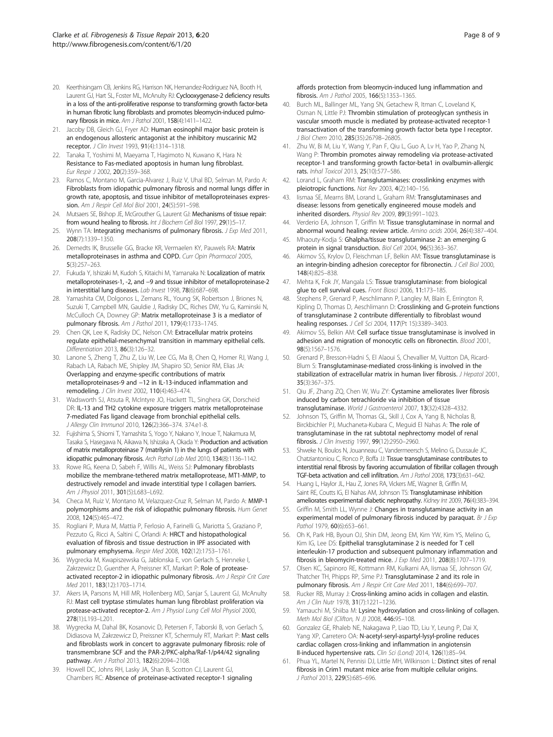- <span id="page-7-0"></span>20. Keerthisingam CB, Jenkins RG, Harrison NK, Hernandez-Rodriguez NA, Booth H, Laurent GJ, Hart SL, Foster ML, McAnulty RJ: Cyclooxygenase-2 deficiency results in a loss of the anti-proliferative response to transforming growth factor-beta in human fibrotic lung fibroblasts and promotes bleomycin-induced pulmonary fibrosis in mice. Am J Pathol 2001, 158(4):1411–1422.
- 21. Jacoby DB, Gleich GJ, Fryer AD: Human eosinophil major basic protein is an endogenous allosteric antagonist at the inhibitory muscarinic M2 receptor. J Clin Invest 1993, 91(4):1314–1318.
- 22. Tanaka T, Yoshimi M, Maeyama T, Hagimoto N, Kuwano K, Hara N: Resistance to Fas-mediated apoptosis in human lung fibroblast. Eur Respir J 2002, 20(2):359–368.
- 23. Ramos C, Montano M, Garcia-Alvarez J, Ruiz V, Uhal BD, Selman M, Pardo A: Fibroblasts from idiopathic pulmonary fibrosis and normal lungs differ in growth rate, apoptosis, and tissue inhibitor of metalloproteinases expression. Am J Respir Cell Mol Biol 2001, 24(5):591–598.
- 24. Mutsaers SE, Bishop JE, McGrouther G, Laurent GJ: Mechanisms of tissue repair: from wound healing to fibrosis. Int J Biochem Cell Biol 1997, 29(1):5-17.
- Wynn TA: Integrating mechanisms of pulmonary fibrosis. J Exp Med 2011, 208(7):1339–1350.
- 26. Demedts IK, Brusselle GG, Bracke KR, Vermaelen KY, Pauwels RA: Matrix metalloproteinases in asthma and COPD. Curr Opin Pharmacol 2005, 5(3):257–263.
- 27. Fukuda Y, Ishizaki M, Kudoh S, Kitaichi M, Yamanaka N: Localization of matrix metalloproteinases-1, -2, and −9 and tissue inhibitor of metalloproteinase-2 in interstitial lung diseases. Lab Invest 1998, 78(6):687-698.
- 28. Yamashita CM, Dolgonos L, Zemans RL, Young SK, Robertson J, Briones N, Suzuki T, Campbell MN, Gauldie J, Radisky DC, Riches DW, Yu G, Kaminski N, McCulloch CA, Downey GP: Matrix metalloproteinase 3 is a mediator of pulmonary fibrosis. Am J Pathol 2011, 179(4):1733–1745.
- 29. Chen QK, Lee K, Radisky DC, Nelson CM: Extracellular matrix proteins regulate epithelial-mesenchymal transition in mammary epithelial cells. Differentiation 2013, 86(3):126–32.
- 30. Lanone S, Zheng T, Zhu Z, Liu W, Lee CG, Ma B, Chen Q, Homer RJ, Wang J, Rabach LA, Rabach ME, Shipley JM, Shapiro SD, Senior RM, Elias JA: Overlapping and enzyme-specific contributions of matrix metalloproteinases-9 and −12 in IL-13-induced inflammation and remodeling. J Clin Invest 2002, 110(4):463–474.
- 31. Wadsworth SJ, Atsuta R, McIntyre JO, Hackett TL, Singhera GK, Dorscheid DR: IL-13 and TH2 cytokine exposure triggers matrix metalloproteinase 7-mediated Fas ligand cleavage from bronchial epithelial cells. J Allergy Clin Immunol 2010, 126(2):366–374. 374.e1-8.
- 32. Fujishima S, Shiomi T, Yamashita S, Yogo Y, Nakano Y, Inoue T, Nakamura M, Tasaka S, Hasegawa N, Aikawa N, Ishizaka A, Okada Y: Production and activation of matrix metalloproteinase 7 (matrilysin 1) in the lungs of patients with idiopathic pulmonary fibrosis. Arch Pathol Lab Med 2010, 134(8):1136–1142.
- 33. Rowe RG, Keena D, Sabeh F, Willis AL, Weiss SJ: Pulmonary fibroblasts mobilize the membrane-tethered matrix metalloprotease, MT1-MMP, to destructively remodel and invade interstitial type I collagen barriers. Am J Physiol 2011, 301(5):L683-L692.
- 34. Checa M, Ruiz V, Montano M, Velazquez-Cruz R, Selman M, Pardo A: MMP-1 polymorphisms and the risk of idiopathic pulmonary fibrosis. Hum Genet 2008, 124(5):465–472.
- 35. Rogliani P, Mura M, Mattia P, Ferlosio A, Farinelli G, Mariotta S, Graziano P, Pezzuto G, Ricci A, Saltini C, Orlandi A: HRCT and histopathological evaluation of fibrosis and tissue destruction in IPF associated with pulmonary emphysema. Respir Med 2008, 102(12):1753–1761.
- 36. Wygrecka M, Kwapiszewska G, Jablonska E, von Gerlach S, Henneke I, Zakrzewicz D, Guenther A, Preissner KT, Markart P: Role of proteaseactivated receptor-2 in idiopathic pulmonary fibrosis. Am J Respir Crit Care Med 2011, 183(12):1703–1714.
- 37. Akers IA, Parsons M, Hill MR, Hollenberg MD, Sanjar S, Laurent GJ, McAnulty RJ: Mast cell tryptase stimulates human lung fibroblast proliferation via protease-activated receptor-2. Am J Physiol Lung Cell Mol Physiol 2000, 278(1):L193–L201.
- 38. Wygrecka M, Dahal BK, Kosanovic D, Petersen F, Taborski B, von Gerlach S, Didiasova M, Zakrzewicz D, Preissner KT, Schermuly RT, Markart P: Mast cells and fibroblasts work in concert to aggravate pulmonary fibrosis: role of transmembrane SCF and the PAR-2/PKC-alpha/Raf-1/p44/42 signaling pathway. Am J Pathol 2013, 182(6):2094–2108.
- 39. Howell DC, Johns RH, Lasky JA, Shan B, Scotton CJ, Laurent GJ, Chambers RC: Absence of proteinase-activated receptor-1 signaling

affords protection from bleomycin-induced lung inflammation and fibrosis. Am J Pathol 2005, 166(5):1353–1365.

- 40. Burch ML, Ballinger ML, Yang SN, Getachew R, Itman C, Loveland K, Osman N, Little PJ: Thrombin stimulation of proteoglycan synthesis in vascular smooth muscle is mediated by protease-activated receptor-1 transactivation of the transforming growth factor beta type I receptor. J Biol Chem 2010, 285(35):26798–26805.
- 41. Zhu W, Bi M, Liu Y, Wang Y, Pan F, Qiu L, Guo A, Lv H, Yao P, Zhang N, Wang P: Thrombin promotes airway remodeling via protease-activated receptor-1 and transforming growth factor-beta1 in ovalbumin-allergic rats. Inhal Toxicol 2013, 25(10):577–586.
- 42. Lorand L, Graham RM: Transglutaminases: crosslinking enzymes with pleiotropic functions. Nat Rev 2003, 4(2):140–156.
- 43. Iismaa SE, Mearns BM, Lorand L, Graham RM: Transglutaminases and disease: lessons from genetically engineered mouse models and inherited disorders. Physiol Rev 2009, 89(3):991–1023.
- 44. Verderio EA, Johnson T, Griffin M: Tissue transglutaminase in normal and abnormal wound healing: review article. Amino acids 2004, 26(4):387–404.
- 45. Mhaouty-Kodja S: Ghalpha/tissue transglutaminase 2: an emerging G protein in signal transduction. Biol Cell 2004, 96(5):363-367.
- 46. Akimov SS, Krylov D, Fleischman LF, Belkin AM: Tissue transglutaminase is an integrin-binding adhesion coreceptor for fibronectin. J Cell Biol 2000, 148(4):825–838.
- 47. Mehta K, Fok JY, Mangala LS: Tissue transglutaminase: from biological glue to cell survival cues. Front Biosci 2006, 11:173–185.
- 48. Stephens P, Grenard P, Aeschlimann P, Langley M, Blain E, Errington R, Kipling D, Thomas D, Aeschlimann D: Crosslinking and G-protein functions of transglutaminase 2 contribute differentially to fibroblast wound healing responses. J Cell Sci 2004, 117(Pt 15):3389–3403.
- 49. Akimov SS, Belkin AM: Cell surface tissue transglutaminase is involved in adhesion and migration of monocytic cells on fibronectin. Blood 2001, 98(5):1567–1576.
- 50. Grenard P, Bresson-Hadni S, El Alaoui S, Chevallier M, Vuitton DA, Ricard-Blum S: Transglutaminase-mediated cross-linking is involved in the stabilization of extracellular matrix in human liver fibrosis. J Hepatol 2001, 35(3):367–375.
- 51. Qiu JF, Zhang ZQ, Chen W, Wu ZY: Cystamine ameliorates liver fibrosis induced by carbon tetrachloride via inhibition of tissue transglutaminase. World J Gastroenterol 2007, 13(32):4328–4332.
- 52. Johnson TS, Griffin M, Thomas GL, Skill J, Cox A, Yang B, Nicholas B, Birckbichler PJ, Muchaneta-Kubara C, Meguid El Nahas A: The role of transglutaminase in the rat subtotal nephrectomy model of renal fibrosis. J Clin Investig 1997, 99(12):2950–2960.
- 53. Shweke N, Boulos N, Jouanneau C, Vandermeersch S, Melino G, Dussaule JC, Chatziantoniou C, Ronco P, Boffa JJ: Tissue transglutaminase contributes to interstitial renal fibrosis by favoring accumulation of fibrillar collagen through TGF-beta activation and cell infiltration. Am J Pathol 2008, 173(3):631–642.
- 54. Huang L, Haylor JL, Hau Z, Jones RA, Vickers ME, Wagner B, Griffin M, Saint RE, Coutts IG, El Nahas AM, Johnson TS: Transglutaminase inhibition ameliorates experimental diabetic nephropathy. Kidney Int 2009, 76(4):383-394.
- 55. Griffin M, Smith LL, Wynne J: Changes in transglutaminase activity in an experimental model of pulmonary fibrosis induced by paraquat. Br J Exp Pathol 1979, 60(6):653-661.
- 56. Oh K, Park HB, Byoun OJ, Shin DM, Jeong EM, Kim YW, Kim YS, Melino G, Kim IG, Lee DS: Epithelial transglutaminase 2 is needed for T cell interleukin-17 production and subsequent pulmonary inflammation and fibrosis in bleomycin-treated mice. J Exp Med 2011, 208(8):1707–1719.
- 57. Olsen KC, Sapinoro RE, Kottmann RM, Kulkarni AA, Iismaa SE, Johnson GV, Thatcher TH, Phipps RP, Sime PJ: Transglutaminase 2 and its role in pulmonary fibrosis. Am J Respir Crit Care Med 2011, 184(6):699-707.
- Rucker RB, Murray J: Cross-linking amino acids in collagen and elastin. Am J Clin Nutr 1978, 31(7):1221-1236.
- 59. Yamauchi M, Shiiba M: Lysine hydroxylation and cross-linking of collagen. Meth Mol Biol (Clifton, N J) 2008, 446:95–108.
- 60. Gonzalez GE, Rhaleb NE, Nakagawa P, Liao TD, Liu Y, Leung P, Dai X, Yang XP, Carretero OA: N-acetyl-seryl-aspartyl-lysyl-proline reduces cardiac collagen cross-linking and inflammation in angiotensin II-induced hypertensive rats. Clin Sci (Lond) 2014, 126(1):85–94.
- 61. Phua YL, Martel N, Pennisi DJ, Little MH, Wilkinson L: Distinct sites of renal fibrosis in Crim1 mutant mice arise from multiple cellular origins. J Pathol 2013, 229(5):685–696.